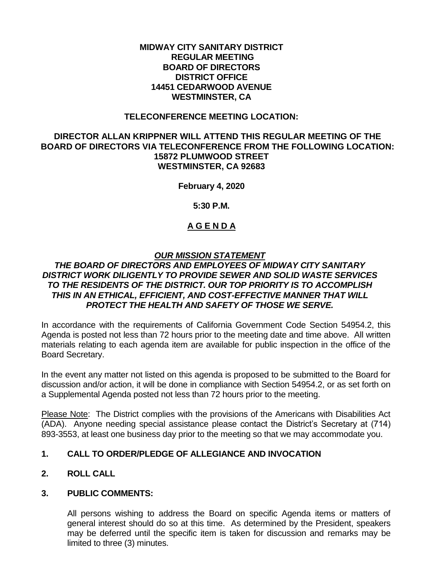#### **MIDWAY CITY SANITARY DISTRICT REGULAR MEETING BOARD OF DIRECTORS DISTRICT OFFICE 14451 CEDARWOOD AVENUE WESTMINSTER, CA**

#### **TELECONFERENCE MEETING LOCATION:**

#### **DIRECTOR ALLAN KRIPPNER WILL ATTEND THIS REGULAR MEETING OF THE BOARD OF DIRECTORS VIA TELECONFERENCE FROM THE FOLLOWING LOCATION: 15872 PLUMWOOD STREET WESTMINSTER, CA 92683**

**February 4, 2020**

**5:30 P.M.**

# **A G E N D A**

## *OUR MISSION STATEMENT*

## *THE BOARD OF DIRECTORS AND EMPLOYEES OF MIDWAY CITY SANITARY DISTRICT WORK DILIGENTLY TO PROVIDE SEWER AND SOLID WASTE SERVICES TO THE RESIDENTS OF THE DISTRICT. OUR TOP PRIORITY IS TO ACCOMPLISH THIS IN AN ETHICAL, EFFICIENT, AND COST-EFFECTIVE MANNER THAT WILL PROTECT THE HEALTH AND SAFETY OF THOSE WE SERVE.*

In accordance with the requirements of California Government Code Section 54954.2, this Agenda is posted not less than 72 hours prior to the meeting date and time above. All written materials relating to each agenda item are available for public inspection in the office of the Board Secretary.

In the event any matter not listed on this agenda is proposed to be submitted to the Board for discussion and/or action, it will be done in compliance with Section 54954.2, or as set forth on a Supplemental Agenda posted not less than 72 hours prior to the meeting.

Please Note: The District complies with the provisions of the Americans with Disabilities Act (ADA). Anyone needing special assistance please contact the District's Secretary at (714) 893-3553, at least one business day prior to the meeting so that we may accommodate you.

## **1. CALL TO ORDER/PLEDGE OF ALLEGIANCE AND INVOCATION**

## **2. ROLL CALL**

## **3. PUBLIC COMMENTS:**

All persons wishing to address the Board on specific Agenda items or matters of general interest should do so at this time. As determined by the President, speakers may be deferred until the specific item is taken for discussion and remarks may be limited to three (3) minutes.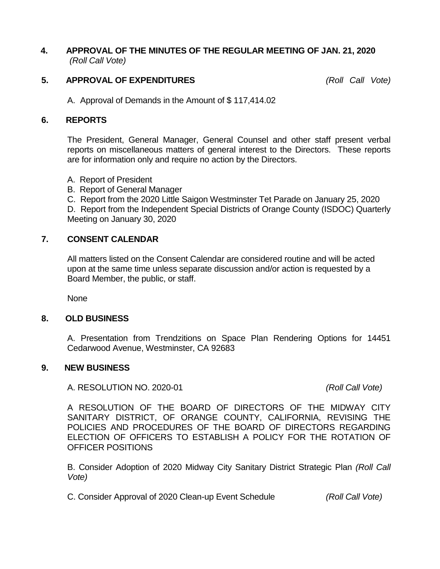## **4. APPROVAL OF THE MINUTES OF THE REGULAR MEETING OF JAN. 21, 2020** *(Roll Call Vote)*

## **5. APPROVAL OF EXPENDITURES** *(Roll Call Vote)*

A. Approval of Demands in the Amount of \$ 117,414.02

#### **6. REPORTS**

The President, General Manager, General Counsel and other staff present verbal reports on miscellaneous matters of general interest to the Directors. These reports are for information only and require no action by the Directors.

- A. Report of President
- B. Report of General Manager
- C. Report from the 2020 Little Saigon Westminster Tet Parade on January 25, 2020

D. Report from the Independent Special Districts of Orange County (ISDOC) Quarterly Meeting on January 30, 2020

## **7. CONSENT CALENDAR**

All matters listed on the Consent Calendar are considered routine and will be acted upon at the same time unless separate discussion and/or action is requested by a Board Member, the public, or staff.

None

#### **8. OLD BUSINESS**

A. Presentation from Trendzitions on Space Plan Rendering Options for 14451 Cedarwood Avenue, Westminster, CA 92683

#### **9. NEW BUSINESS**

A. RESOLUTION NO. 2020-01 *(Roll Call Vote)*

A RESOLUTION OF THE BOARD OF DIRECTORS OF THE MIDWAY CITY SANITARY DISTRICT, OF ORANGE COUNTY, CALIFORNIA, REVISING THE POLICIES AND PROCEDURES OF THE BOARD OF DIRECTORS REGARDING ELECTION OF OFFICERS TO ESTABLISH A POLICY FOR THE ROTATION OF OFFICER POSITIONS

B. Consider Adoption of 2020 Midway City Sanitary District Strategic Plan *(Roll Call Vote)*

C. Consider Approval of 2020 Clean-up Event Schedule *(Roll Call Vote)*